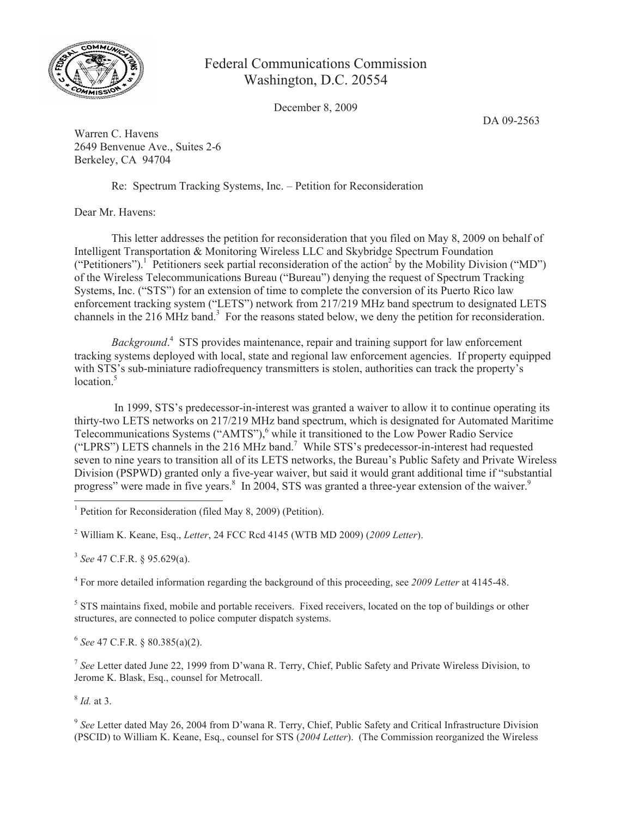

## Federal Communications Commission Washington, D.C. 20554

December 8, 2009

DA 09-2563

Warren C. Havens 2649 Benvenue Ave., Suites 2-6 Berkeley, CA 94704

Re: Spectrum Tracking Systems, Inc. – Petition for Reconsideration

Dear Mr. Havens:

This letter addresses the petition for reconsideration that you filed on May 8, 2009 on behalf of Intelligent Transportation & Monitoring Wireless LLC and Skybridge Spectrum Foundation ("Petitioners").<sup>1</sup> Petitioners seek partial reconsideration of the action<sup>2</sup> by the Mobility Division ("MD") of the Wireless Telecommunications Bureau ("Bureau") denying the request of Spectrum Tracking Systems, Inc. ("STS") for an extension of time to complete the conversion of its Puerto Rico law enforcement tracking system ("LETS") network from 217/219 MHz band spectrum to designated LETS channels in the 216 MHz band.<sup>3</sup> For the reasons stated below, we deny the petition for reconsideration.

*Background*. 4 STS provides maintenance, repair and training support for law enforcement tracking systems deployed with local, state and regional law enforcement agencies. If property equipped with STS's sub-miniature radiofrequency transmitters is stolen, authorities can track the property's  $location<sup>5</sup>$ 

In 1999, STS's predecessor-in-interest was granted a waiver to allow it to continue operating its thirty-two LETS networks on 217/219 MHz band spectrum, which is designated for Automated Maritime Telecommunications Systems ("AMTS"),<sup>6</sup> while it transitioned to the Low Power Radio Service ("LPRS") LETS channels in the 216 MHz band.<sup>7</sup> While STS's predecessor-in-interest had requested seven to nine years to transition all of its LETS networks, the Bureau's Public Safety and Private Wireless Division (PSPWD) granted only a five-year waiver, but said it would grant additional time if "substantial progress" were made in five years.<sup>8</sup> In 2004, STS was granted a three-year extension of the waiver.<sup>9</sup>

<sup>2</sup> William K. Keane, Esq., *Letter*, 24 FCC Rcd 4145 (WTB MD 2009) (*2009 Letter*).

3 *See* 47 C.F.R. § 95.629(a).

4 For more detailed information regarding the background of this proceeding, see *2009 Letter* at 4145-48.

<sup>5</sup> STS maintains fixed, mobile and portable receivers. Fixed receivers, located on the top of buildings or other structures, are connected to police computer dispatch systems.

6 *See* 47 C.F.R. § 80.385(a)(2).

7 *See* Letter dated June 22, 1999 from D'wana R. Terry, Chief, Public Safety and Private Wireless Division, to Jerome K. Blask, Esq., counsel for Metrocall.

8 *Id.* at 3.

<sup>9</sup> See Letter dated May 26, 2004 from D'wana R. Terry, Chief, Public Safety and Critical Infrastructure Division (PSCID) to William K. Keane, Esq., counsel for STS (*2004 Letter*). (The Commission reorganized the Wireless

<sup>&</sup>lt;sup>1</sup> Petition for Reconsideration (filed May 8, 2009) (Petition).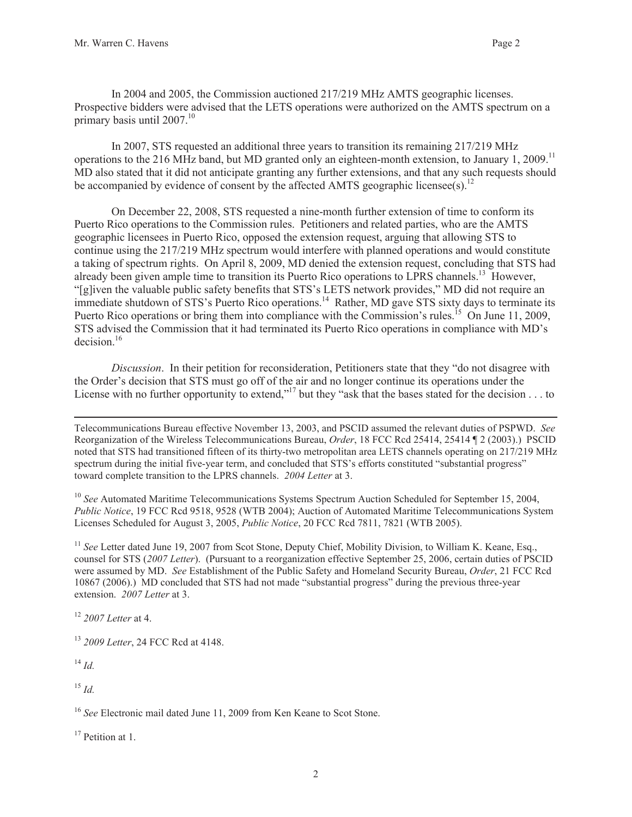In 2004 and 2005, the Commission auctioned 217/219 MHz AMTS geographic licenses. Prospective bidders were advised that the LETS operations were authorized on the AMTS spectrum on a primary basis until 2007.<sup>10</sup>

In 2007, STS requested an additional three years to transition its remaining 217/219 MHz operations to the 216 MHz band, but MD granted only an eighteen-month extension, to January 1, 2009.<sup>11</sup> MD also stated that it did not anticipate granting any further extensions, and that any such requests should be accompanied by evidence of consent by the affected AMTS geographic licensee(s).<sup>12</sup>

On December 22, 2008, STS requested a nine-month further extension of time to conform its Puerto Rico operations to the Commission rules. Petitioners and related parties, who are the AMTS geographic licensees in Puerto Rico, opposed the extension request, arguing that allowing STS to continue using the 217/219 MHz spectrum would interfere with planned operations and would constitute a taking of spectrum rights. On April 8, 2009, MD denied the extension request, concluding that STS had already been given ample time to transition its Puerto Rico operations to LPRS channels.<sup>13</sup> However, "[g]iven the valuable public safety benefits that STS's LETS network provides," MD did not require an immediate shutdown of STS's Puerto Rico operations.<sup>14</sup> Rather, MD gave STS sixty days to terminate its Puerto Rico operations or bring them into compliance with the Commission's rules.<sup>15</sup> On June 11, 2009, STS advised the Commission that it had terminated its Puerto Rico operations in compliance with MD's decision.<sup>16</sup>

*Discussion*. In their petition for reconsideration, Petitioners state that they "do not disagree with the Order's decision that STS must go off of the air and no longer continue its operations under the License with no further opportunity to extend,"<sup>17</sup> but they "ask that the bases stated for the decision . . . to

Telecommunications Bureau effective November 13, 2003, and PSCID assumed the relevant duties of PSPWD. *See* Reorganization of the Wireless Telecommunications Bureau, *Order*, 18 FCC Rcd 25414, 25414 ¶ 2 (2003).) PSCID noted that STS had transitioned fifteen of its thirty-two metropolitan area LETS channels operating on 217/219 MHz spectrum during the initial five-year term, and concluded that STS's efforts constituted "substantial progress" toward complete transition to the LPRS channels. *2004 Letter* at 3.

<sup>10</sup> See Automated Maritime Telecommunications Systems Spectrum Auction Scheduled for September 15, 2004, *Public Notice*, 19 FCC Rcd 9518, 9528 (WTB 2004); Auction of Automated Maritime Telecommunications System Licenses Scheduled for August 3, 2005, *Public Notice*, 20 FCC Rcd 7811, 7821 (WTB 2005).

<sup>11</sup> See Letter dated June 19, 2007 from Scot Stone, Deputy Chief, Mobility Division, to William K. Keane, Esq., counsel for STS (*2007 Letter*). (Pursuant to a reorganization effective September 25, 2006, certain duties of PSCID were assumed by MD. *See* Establishment of the Public Safety and Homeland Security Bureau, *Order*, 21 FCC Rcd 10867 (2006).) MD concluded that STS had not made "substantial progress" during the previous three-year extension. *2007 Letter* at 3.

<sup>12</sup> *2007 Letter* at 4.

<sup>13</sup> *2009 Letter*, 24 FCC Rcd at 4148.

 $^{14}$  *Id.* 

<sup>15</sup> *Id.*

<sup>16</sup> See Electronic mail dated June 11, 2009 from Ken Keane to Scot Stone.

 $17$  Petition at 1.